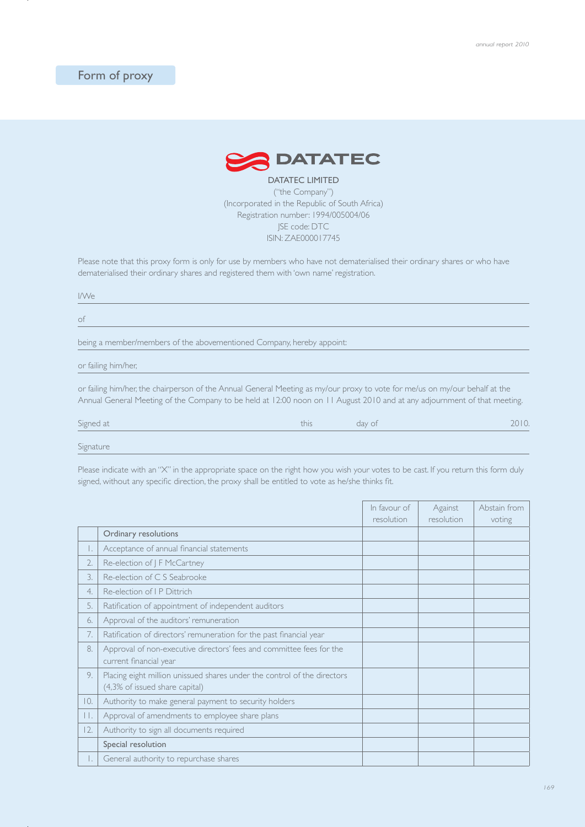## Form of proxy



DATATEC LIMITED ("the Company") (Incorporated in the Republic of South Africa) Registration number: 1994/005004/06 JSE code: DTC ISIN: ZAE000017745

Please note that this proxy form is only for use by members who have not dematerialised their ordinary shares or who have dematerialised their ordinary shares and registered them with 'own name' registration.

I/We

of

being a member/members of the abovementioned Company, hereby appoint:

or failing him/her,

or failing him/her, the chairperson of the Annual General Meeting as my/our proxy to vote for me/us on my/our behalf at the Annual General Meeting of the Company to be held at 12:00 noon on 11 August 2010 and at any adjournment of that meeting.

| Signed at | this | day of | $\cup$ . |
|-----------|------|--------|----------|
|           |      |        |          |

Signature

Please indicate with an "X" in the appropriate space on the right how you wish your votes to be cast. If you return this form duly signed, without any specific direction, the proxy shall be entitled to vote as he/she thinks fit.

|                  |                                                                                                            | In favour of | Against    | Abstain from |
|------------------|------------------------------------------------------------------------------------------------------------|--------------|------------|--------------|
|                  |                                                                                                            | resolution   | resolution | voting       |
|                  | Ordinary resolutions                                                                                       |              |            |              |
| Ι.               | Acceptance of annual financial statements                                                                  |              |            |              |
| 2.               | Re-election of J F McCartney                                                                               |              |            |              |
| $\overline{3}$ . | Re-election of C S Seabrooke                                                                               |              |            |              |
| 4.               | Re-election of I P Dittrich                                                                                |              |            |              |
| 5.               | Ratification of appointment of independent auditors                                                        |              |            |              |
| 6.               | Approval of the auditors' remuneration                                                                     |              |            |              |
| 7.               | Ratification of directors' remuneration for the past financial year                                        |              |            |              |
| 8.               | Approval of non-executive directors' fees and committee fees for the<br>current financial year             |              |            |              |
| 9.               | Placing eight million unissued shares under the control of the directors<br>(4,3% of issued share capital) |              |            |              |
| 10.              | Authority to make general payment to security holders                                                      |              |            |              |
| П.               | Approval of amendments to employee share plans                                                             |              |            |              |
| 12.              | Authority to sign all documents required                                                                   |              |            |              |
|                  | Special resolution                                                                                         |              |            |              |
|                  | General authority to repurchase shares                                                                     |              |            |              |